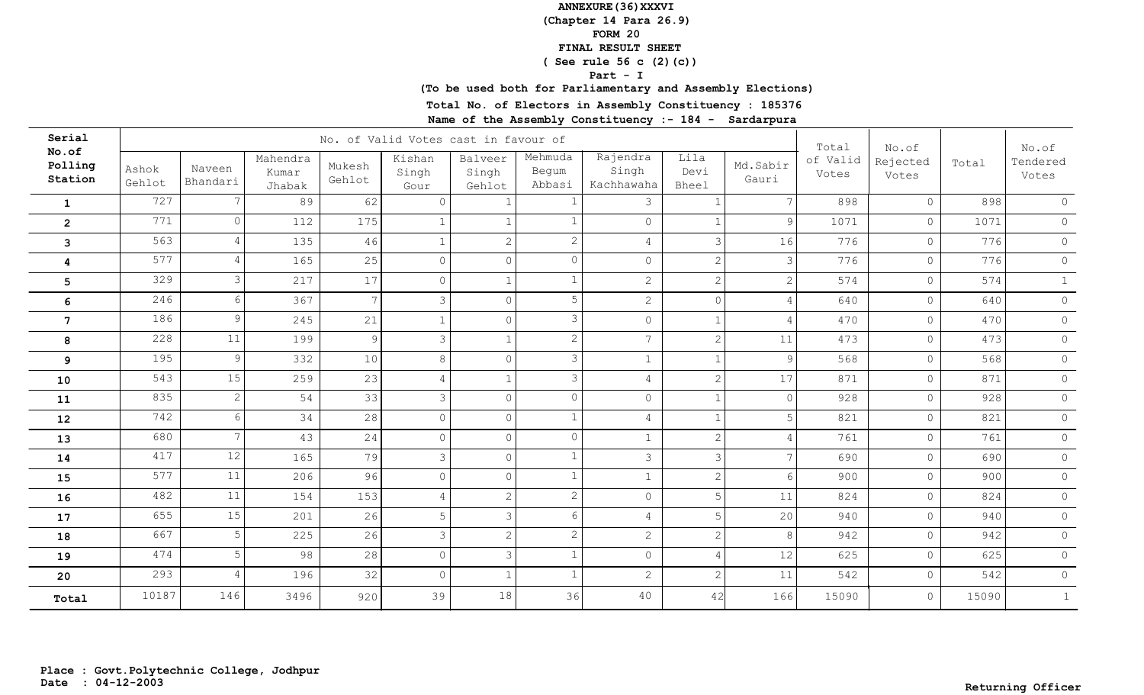**(Chapter 14 Para 26.9)**

**FORM 20**

 **FINAL RESULT SHEET**

 **( See rule 56 c (2)(c))**

#### **Part - I**

## **(To be used both for Parliamentary and Assembly Elections)**

**Total No. of Electors in Assembly Constituency : 185376**

| Serial                      |                 |                    |                             |                  | No. of Valid Votes cast in favour of |                            |                            |                                 |                              |                   | Total             | No.of             |       | No.of             |
|-----------------------------|-----------------|--------------------|-----------------------------|------------------|--------------------------------------|----------------------------|----------------------------|---------------------------------|------------------------------|-------------------|-------------------|-------------------|-------|-------------------|
| No.of<br>Polling<br>Station | Ashok<br>Gehlot | Naveen<br>Bhandari | Mahendra<br>Kumar<br>Jhabak | Mukesh<br>Gehlot | Kishan<br>Singh<br>Gour              | Balveer<br>Singh<br>Gehlot | Mehmuda<br>Begum<br>Abbasi | Rajendra<br>Singh<br>Kachhawaha | Lila<br>Devi<br><b>Bheel</b> | Md.Sabir<br>Gauri | of Valid<br>Votes | Rejected<br>Votes | Total | Tendered<br>Votes |
| $\mathbf{1}$                | 727             |                    | 89                          | 62               | $\Omega$                             |                            |                            | 3                               |                              | 7                 | 898               | $\circ$           | 898   | $\circ$           |
| $\overline{2}$              | 771             | $\Omega$           | 112                         | 175              | $\mathbf{1}$                         | $\mathbf{1}$               |                            | $\circ$                         |                              | 9                 | 1071              | $\circ$           | 1071  | $\circ$           |
| 3                           | 563             |                    | 135                         | 46               | $\mathbf{1}$                         | $\overline{2}$             | $\mathbf{2}$               | $\overline{4}$                  | 3                            | 16                | 776               | $\circ$           | 776   | $\circledcirc$    |
| 4                           | 577             | 4                  | 165                         | 25               | $\circ$                              | $\overline{0}$             | $\Omega$                   | $\mathsf{O}$                    | $\overline{2}$               | 3                 | 776               | $\circ$           | 776   | $\circ$           |
| 5                           | 329             | 3                  | 217                         | 17               | $\Omega$                             | $\mathbf{1}$               |                            | $\overline{c}$                  | $\overline{2}$               | 2                 | 574               | $\circ$           | 574   | $\mathbf{1}$      |
| 6                           | 246             | 6                  | 367                         | $7\phantom{.0}$  | $\mathcal{S}$                        | $\overline{0}$             | 5                          | $\overline{2}$                  | $\overline{0}$               | 4                 | 640               | $\circ$           | 640   | $\circ$           |
| $\overline{7}$              | 186             | 9                  | 245                         | 21               | $\mathbf{1}$                         | $\circ$                    | 3                          | $\mathsf{O}$                    |                              | 4                 | 470               | $\circ$           | 470   | $\circ$           |
| 8                           | 228             | 11                 | 199                         | 9                | 3                                    | $\mathbf{1}$               | $\overline{2}$             | $7^{\circ}$                     | 2                            | 11                | 473               | $\circ$           | 473   | $\circ$           |
| 9                           | 195             | 9                  | 332                         | 10               | 8                                    | $\circ$                    | 3                          | $\mathbf{1}$                    |                              | 9 <sup>1</sup>    | 568               | $\circ$           | 568   | $\circ$           |
| 10                          | 543             | 15                 | 259                         | 23               | $\overline{4}$                       | $\mathbf{1}$               | 3                          | $\overline{4}$                  | 2                            | 17                | 871               | $\circ$           | 871   | $\circ$           |
| 11                          | 835             | $\mathbf{2}$       | 54                          | 33               | 3                                    | $\overline{0}$             | $\circ$                    | $\circ$                         |                              | $\circ$           | 928               | $\circ$           | 928   | $\circ$           |
| 12                          | 742             | 6                  | 34                          | 28               | $\circ$                              | $\circ$                    |                            | $\overline{4}$                  |                              | 5                 | 821               | $\circ$           | 821   | $\circ$           |
| 13                          | 680             | $7\phantom{.0}$    | 43                          | 24               | $\circ$                              | $\circ$                    | $\circ$                    | $\mathbf{1}$                    | $\overline{2}$               | $\overline{4}$    | 761               | $\circ$           | 761   | $\circ$           |
| 14                          | 417             | 12                 | 165                         | 79               | 3                                    | $\circ$                    | $\mathbf{1}$               | $\mathcal{S}$                   | 3                            | $7\phantom{.0}$   | 690               | $\circ$           | 690   | $\circ$           |
| 15                          | 577             | 11                 | 206                         | 96               | $\circ$                              | $\circ$                    | $\mathbf{1}$               | $\mathbf{1}$                    | $\overline{2}$               | $6\overline{6}$   | 900               | $\circ$           | 900   | $\circ$           |
| 16                          | 482             | 11                 | 154                         | 153              | $\overline{4}$                       | $\overline{2}$             | $\overline{2}$             | $\circ$                         | 5                            | 11                | 824               | $\circ$           | 824   | $\circ$           |
| 17                          | 655             | 15                 | 201                         | 26               | 5                                    | 3                          | $6\phantom{.}6$            | $\overline{4}$                  | 5                            | 20                | 940               | $\circ$           | 940   | $\circ$           |
| 18                          | 667             | 5                  | 225                         | 26               | 3                                    | $\overline{2}$             | $\overline{2}$             | $\overline{2}$                  | $\overline{2}$               | 8                 | 942               | $\circ$           | 942   | $\circ$           |
| 19                          | 474             | 5                  | 98                          | 28               | $\overline{0}$                       | $\mathcal{S}$              |                            | $\circ$                         | $\overline{4}$               | $12\,$            | 625               | $\circ$           | 625   | $\circ$           |
| 20                          | 293             | 4                  | 196                         | 32               | $\circ$                              | $\mathbf{1}$               |                            | $\overline{c}$                  | $\mathcal{D}$                | 11                | 542               | $\circ$           | 542   | $\circ$           |
| Total                       | 10187           | 146                | 3496                        | 920              | 39                                   | 18                         | 36                         | 40                              | 42                           | 166               | 15090             | $\circ$           | 15090 | 1                 |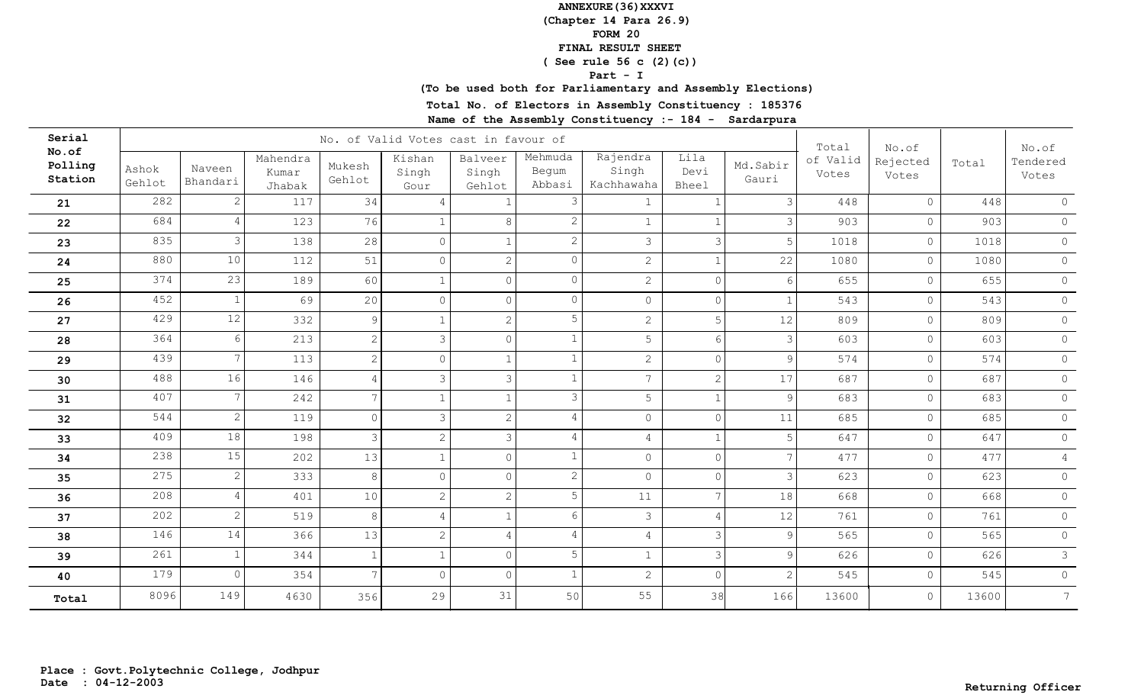**(Chapter 14 Para 26.9)**

**FORM 20**

 **FINAL RESULT SHEET**

 **( See rule 56 c (2)(c))**

#### **Part - I**

## **(To be used both for Parliamentary and Assembly Elections)**

**Total No. of Electors in Assembly Constituency : 185376**

| Serial                      |                 |                    |                             |                  | No. of Valid Votes cast in favour of |                            |                            |                                 |                       |                   | Total             | No.of             |       | No.of             |
|-----------------------------|-----------------|--------------------|-----------------------------|------------------|--------------------------------------|----------------------------|----------------------------|---------------------------------|-----------------------|-------------------|-------------------|-------------------|-------|-------------------|
| No.of<br>Polling<br>Station | Ashok<br>Gehlot | Naveen<br>Bhandari | Mahendra<br>Kumar<br>Jhabak | Mukesh<br>Gehlot | Kishan<br>Singh<br>Gour              | Balveer<br>Singh<br>Gehlot | Mehmuda<br>Begum<br>Abbasi | Rajendra<br>Singh<br>Kachhawaha | Lila<br>Devi<br>Bheel | Md.Sabir<br>Gauri | of Valid<br>Votes | Rejected<br>Votes | Total | Tendered<br>Votes |
| 21                          | 282             | 2.                 | 117                         | 34               | $\overline{4}$                       |                            | 3                          |                                 |                       | $\mathcal{E}$     | 448               | $\circ$           | 448   | $\circ$           |
| 22                          | 684             | 4                  | 123                         | 76               | $\mathbf{1}$                         | 8                          | $\mathbf{2}$               | $\mathbf{1}$                    |                       | 3                 | 903               | $\circ$           | 903   | $\circ$           |
| 23                          | 835             | 3                  | 138                         | 28               | $\circ$                              | $\mathbf{1}$               | $\mathbf{2}$               | $\mathcal{S}$                   | $\mathcal{R}$         | 5                 | 1018              | $\circ$           | 1018  | $\circ$           |
| ${\bf 24}$                  | 880             | 10                 | 112                         | 51               | $\circ$                              | $\overline{2}$             | $\circ$                    | $\overline{2}$                  |                       | 22                | 1080              | $\circ$           | 1080  | $\circ$           |
| 25                          | 374             | 23                 | 189                         | 60               | $\mathbf{1}$                         | $\Omega$                   | $\circ$                    | $\overline{2}$                  |                       | $6\overline{6}$   | 655               | $\circ$           | 655   | $\circledcirc$    |
| 26                          | 452             | 1                  | 69                          | 20               | $\Omega$                             | $\overline{O}$             | $\circ$                    | $\circ$                         | $\Omega$              | $\mathbf{1}$      | 543               | $\circ$           | 543   | $\circ$           |
| 27                          | 429             | 12                 | 332                         | 9                | $\mathbf{1}$                         | $\overline{2}$             | 5                          | $\overline{2}$                  |                       | 12                | 809               | $\circ$           | 809   | $\circ$           |
| 28                          | 364             | 6                  | 213                         | 2                | 3                                    | $\circ$                    | $\mathbf{1}$               | 5                               | 6                     | $\overline{3}$    | 603               | $\circ$           | 603   | $\circ$           |
| 29                          | 439             | 7                  | 113                         | 2                | $\circ$                              | $\mathbf{1}$               | $\mathbf{1}$               | $\overline{2}$                  | $\Omega$              | 9 <sup>1</sup>    | 574               | $\circ$           | 574   | $\circ$           |
| 30                          | 488             | 16                 | 146                         | $\overline{4}$   | $\mathcal{E}$                        | $\overline{3}$             | $\mathbf{1}$               | $7\overline{ }$                 | $\mathcal{D}$         | 17                | 687               | $\circ$           | 687   | $\circ$           |
| 31                          | 407             | 7                  | 242                         | $\overline{7}$   | $\mathbf{1}$                         | $\mathbf{1}$               | 3                          | 5                               |                       | 9                 | 683               | $\circ$           | 683   | $\circ$           |
| 32                          | 544             | $\mathbf{2}$       | 119                         | $\circ$          | $\mathcal{E}$                        | $\overline{2}$             | 4                          | $\circledcirc$                  | $\circ$               | 11                | 685               | $\circ$           | 685   | $\circ$           |
| 33                          | 409             | 18                 | 198                         | $\mathcal{S}$    | $\overline{c}$                       | $\mathcal{E}$              | $\overline{4}$             | $\overline{4}$                  |                       | 5                 | 647               | $\circ$           | 647   | $\circ$           |
| 34                          | 238             | 15                 | 202                         | 13               | $\mathbf{1}$                         | $\circ$                    | $\mathbf{1}$               | $\circ$                         | $\Omega$              | $7\overline{ }$   | 477               | $\circ$           | 477   | $\overline{4}$    |
| 35                          | 275             | $\overline{2}$     | 333                         | 8                | $\mathbf{0}$                         | $\circ$                    | $\overline{2}$             | $\mathsf{O}\xspace$             | $\Omega$              | $\mathcal{E}$     | 623               | $\circ$           | 623   | $\circ$           |
| 36                          | 208             | 4                  | 401                         | 10               | 2                                    | 2 <sup>1</sup>             | 5                          | 11                              |                       | 18                | 668               | $\circ$           | 668   | $\circ$           |
| 37                          | 202             | $\overline{2}$     | 519                         | 8                | $\overline{4}$                       | $\mathbf{1}$               | 6                          | $\mathcal{S}$                   |                       | 12                | 761               | $\circ$           | 761   | $\circ$           |
| 38                          | 146             | 14                 | 366                         | 13               | 2                                    | $\overline{4}$             | $\overline{4}$             | $\overline{4}$                  | 3                     | 9                 | 565               | $\circ$           | 565   | $\circ$           |
| 39                          | 261             |                    | 344                         | $\overline{1}$   | $\mathbf{1}$                         | $\circ$                    | 5                          | $\mathbf{1}$                    | 3                     | $\overline{9}$    | 626               | $\circ$           | 626   | $\mathcal{S}$     |
| 40                          | 179             | $\Omega$           | 354                         | $\overline{a}$   | $\Omega$                             | $\circ$                    | 1                          | $\overline{2}$                  | $\cap$                | 2                 | 545               | $\circ$           | 545   | $\circ$           |
| Total                       | 8096            | 149                | 4630                        | 356              | 29                                   | 31                         | 50                         | 55                              | 38                    | 166               | 13600             | $\circ$           | 13600 | $7\overline{ }$   |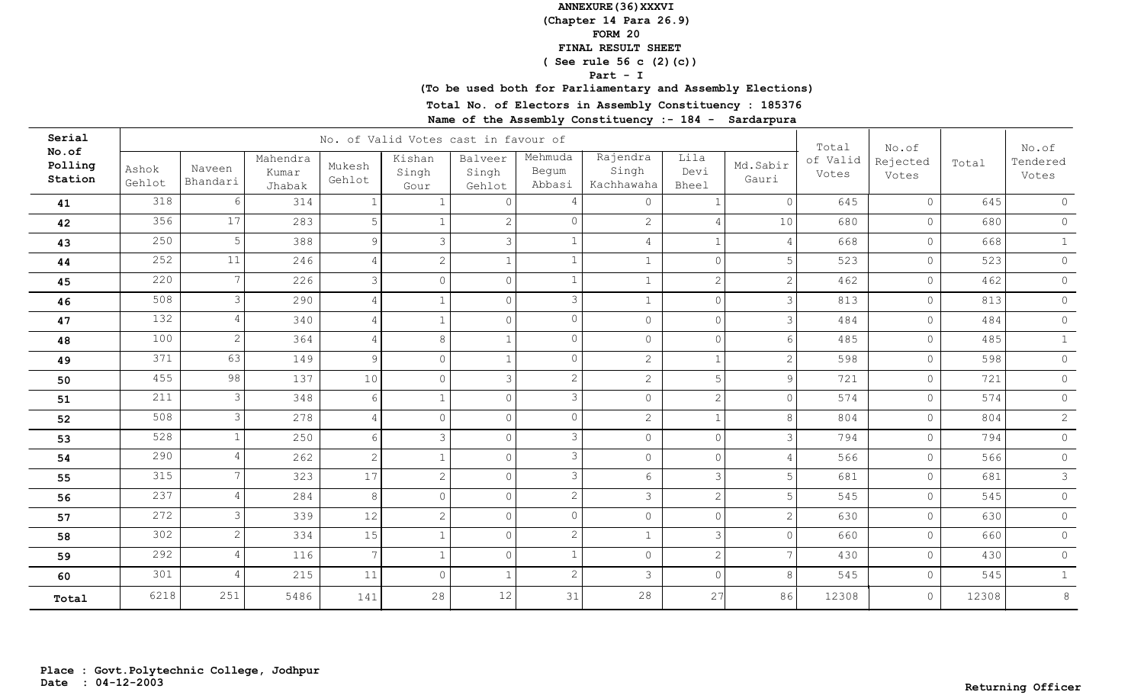**(Chapter 14 Para 26.9)**

**FORM 20**

 **FINAL RESULT SHEET**

 **( See rule 56 c (2)(c))**

#### **Part - I**

## **(To be used both for Parliamentary and Assembly Elections)**

**Total No. of Electors in Assembly Constituency : 185376**

| Serial                      |                 |                    |                             |                  | No. of Valid Votes cast in favour of |                            |                            |                                 |                       |                   | Total             | No.of             |       | No.of             |
|-----------------------------|-----------------|--------------------|-----------------------------|------------------|--------------------------------------|----------------------------|----------------------------|---------------------------------|-----------------------|-------------------|-------------------|-------------------|-------|-------------------|
| No.of<br>Polling<br>Station | Ashok<br>Gehlot | Naveen<br>Bhandari | Mahendra<br>Kumar<br>Jhabak | Mukesh<br>Gehlot | Kishan<br>Singh<br>Gour              | Balveer<br>Singh<br>Gehlot | Mehmuda<br>Begum<br>Abbasi | Rajendra<br>Singh<br>Kachhawaha | Lila<br>Devi<br>Bheel | Md.Sabir<br>Gauri | of Valid<br>Votes | Rejected<br>Votes | Total | Tendered<br>Votes |
| 41                          | 318             | 6                  | 314                         |                  | -1                                   | $\Omega$                   | 4                          | $\circ$                         |                       | $\Omega$          | 645               | $\circ$           | 645   | $\circ$           |
| 42                          | 356             | 17                 | 283                         | 5                |                                      | $\mathbf{2}^{\prime}$      | $\Omega$                   | $\mathbf{2}$                    |                       | 10                | 680               | $\circ$           | 680   | $\circledcirc$    |
| 43                          | 250             | 5                  | 388                         | 9                | 3                                    | 3                          |                            | $\overline{4}$                  |                       | $\overline{4}$    | 668               | $\circ$           | 668   | 1                 |
| 44                          | 252             | 11                 | 246                         | $\overline{4}$   | $\mathbf{2}$                         |                            | 1                          | $\mathbf{1}$                    | $\Omega$              | 5                 | 523               | $\circ$           | 523   | $\circ$           |
| 45                          | 220             | 7                  | 226                         | 3                | $\Omega$                             | $\circ$                    | $\mathbf{1}$               | $\mathbf{1}$                    | $\overline{c}$        | 2                 | 462               | $\circ$           | 462   | $\circ$           |
| 46                          | 508             | 3                  | 290                         | $\overline{4}$   | $\mathbf{1}$                         | $\circ$                    | 3                          | $\mathbf{1}$                    | $\circ$               | 3                 | 813               | $\circ$           | 813   | $\circ$           |
| 47                          | 132             |                    | 340                         | $\overline{4}$   | $\mathbf{1}$                         | $\circ$                    | $\Omega$                   | $\circ$                         | $\Omega$              | $\mathcal{E}$     | 484               | $\circ$           | 484   | $\circ$           |
| 48                          | 100             | $\overline{2}$     | 364                         | $\overline{4}$   | 8                                    | $\mathbf{1}$               | $\Omega$                   | $\circ$                         | $\Omega$              | $6 \overline{6}$  | 485               | $\circ$           | 485   | 1                 |
| 49                          | 371             | 63                 | 149                         | 9                | $\Omega$                             | $\mathbf{1}$               | $\circ$                    | $\overline{2}$                  | $\mathbf{1}$          | $\overline{2}$    | 598               | $\circ$           | 598   | $\circ$           |
| 50                          | 455             | 98                 | 137                         | $10$             | $\circ$                              | $\overline{\mathbf{3}}$    | $\overline{c}$             | $\overline{c}$                  | 5                     | 9                 | 721               | $\circ$           | 721   | $\circ$           |
| 51                          | 211             | 3                  | 348                         | 6                | $\mathbf{1}$                         | $\circ$                    | 3                          | $\circ$                         | 2                     | $\overline{0}$    | 574               | $\circ$           | 574   | $\circ$           |
| 52                          | 508             | 3                  | 278                         | $\overline{4}$   | $\circ$                              | $\circ$                    | $\circ$                    | $\overline{c}$                  | $\mathbf{1}$          | 8                 | 804               | $\circ$           | 804   | $\overline{2}$    |
| 53                          | 528             |                    | 250                         | 6                | $\mathcal{E}$                        | $\circ$                    | 3                          | $\circ$                         | $\Omega$              | $\mathcal{E}$     | 794               | $\circ$           | 794   | $\circ$           |
| 54                          | 290             | 4                  | 262                         | $\overline{c}$   | $\mathbf{1}$                         | $\circ$                    | 3                          | $\circ$                         | $\circ$               | $\overline{4}$    | 566               | $\circ$           | 566   | $\circ$           |
| 55                          | 315             | 7                  | 323                         | 17               | $\sqrt{2}$                           | $\circ$                    | $\mathfrak{Z}$             | $6\overline{6}$                 | 3                     | 5                 | 681               | $\circ$           | 681   | $\mathcal{S}$     |
| 56                          | 237             |                    | 284                         | 8                | $\Omega$                             | $\circ$                    | $\overline{2}$             | $\mathcal{S}$                   | 2                     | $5^{\circ}$       | 545               | $\circ$           | 545   | $\circ$           |
| 57                          | 272             | 3                  | 339                         | 12               | 2                                    | $\circ$                    | $\Omega$                   | $\circ$                         | $\Omega$              | $\overline{2}$    | 630               | $\circ$           | 630   | $\circ$           |
| 58                          | 302             | $\overline{2}$     | 334                         | 15               | $\mathbf{1}$                         | $\circ$                    | $\overline{2}$             | $\mathbf{1}$                    | 3                     | $\Omega$          | 660               | $\circ$           | 660   | $\circ$           |
| 59                          | 292             | 4                  | 116                         | $\overline{7}$   | $\mathbf{1}$                         | $\circ$                    | $\mathbf{1}$               | $\circ$                         | $\mathbf{2}$          | $\overline{7}$    | 430               | $\circ$           | 430   | $\circ$           |
| 60                          | 301             |                    | 215                         | 11               | $\Omega$                             |                            | $\overline{2}$             | 3                               | $\Omega$              | 8                 | 545               | $\circ$           | 545   | 1                 |
| Total                       | 6218            | 251                | 5486                        | 141              | 28                                   | 12                         | 31                         | 28                              | 27                    | 86                | 12308             | $\circ$           | 12308 | $\,8\,$           |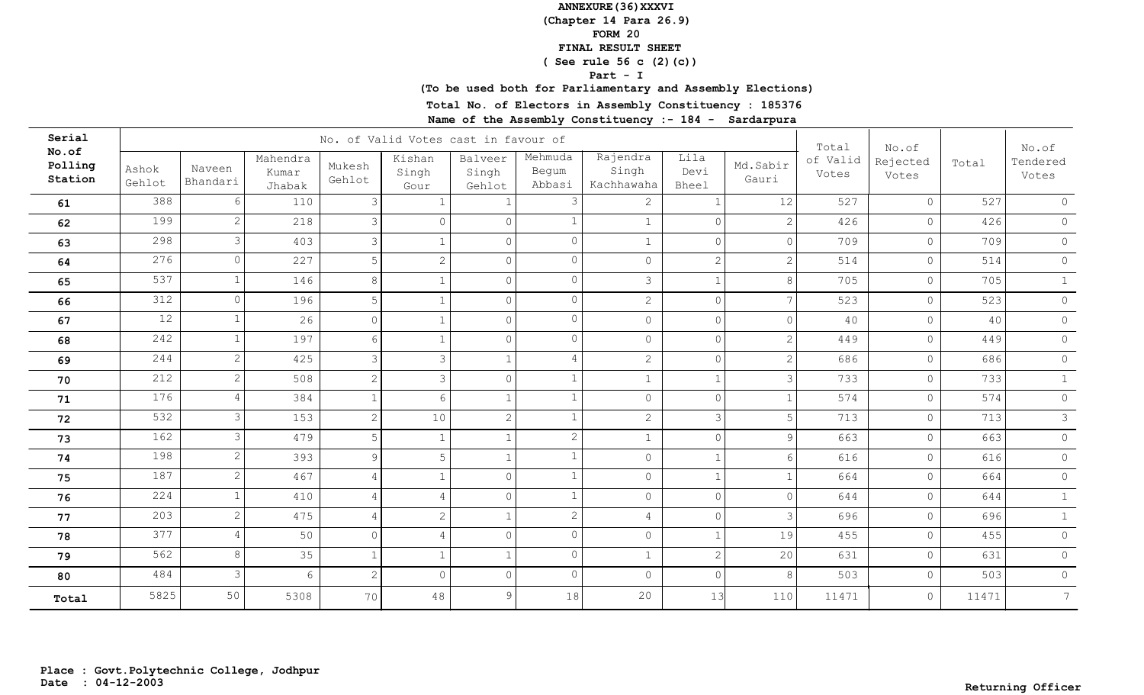**(Chapter 14 Para 26.9)**

**FORM 20**

 **FINAL RESULT SHEET**

 **( See rule 56 c (2)(c))**

#### **Part - I**

## **(To be used both for Parliamentary and Assembly Elections)**

**Total No. of Electors in Assembly Constituency : 185376**

| Serial                      |                 |                    |                             |                  | No. of Valid Votes cast in favour of |                            |                            |                                 |                       |                       | Total             | No.of             |       | No.of             |
|-----------------------------|-----------------|--------------------|-----------------------------|------------------|--------------------------------------|----------------------------|----------------------------|---------------------------------|-----------------------|-----------------------|-------------------|-------------------|-------|-------------------|
| No.of<br>Polling<br>Station | Ashok<br>Gehlot | Naveen<br>Bhandari | Mahendra<br>Kumar<br>Jhabak | Mukesh<br>Gehlot | Kishan<br>Singh<br>Gour              | Balveer<br>Singh<br>Gehlot | Mehmuda<br>Begum<br>Abbasi | Rajendra<br>Singh<br>Kachhawaha | Lila<br>Devi<br>Bheel | Md.Sabir<br>Gauri     | of Valid<br>Votes | Rejected<br>Votes | Total | Tendered<br>Votes |
| 61                          | 388             |                    | 110                         | 3                |                                      |                            | 3                          | $\mathbf{2}$                    |                       | 12                    | 527               | $\circ$           | 527   | $\circ$           |
| 62                          | 199             | $\overline{2}$     | 218                         | 3                | $\Omega$                             | $\Omega$                   |                            | $\mathbf{1}$                    | $\cap$                | $\overline{2}$        | 426               | $\circ$           | 426   | $\circ$           |
| 63                          | 298             | 3                  | 403                         | 3                | $\mathbf{1}$                         | $\circ$                    | $\Omega$                   | $\mathbf{1}$                    | $\Omega$              | $\circ$               | 709               | $\circ$           | 709   | $\circ$           |
| 64                          | 276             | $\Omega$           | 227                         | 5                | $\overline{c}$                       | $\circ$                    | $\circ$                    | $\circ$                         | 2                     | $\mathbf{2}^{\prime}$ | 514               | $\circ$           | 514   | $\circ$           |
| 65                          | 537             |                    | 146                         | $8\,$            | $\mathbf{1}$                         | $\overline{0}$             | $\circ$                    | $\mathcal{S}$                   |                       | 8 <sup>°</sup>        | 705               | $\circ$           | 705   | 1                 |
| 66                          | 312             | $\Omega$           | 196                         | 5                | $\mathbf{1}$                         | $\circ$                    | $\circ$                    | $\overline{2}$                  | $\Omega$              | $7\overline{ }$       | 523               | $\circ$           | 523   | $\circ$           |
| 67                          | 12              |                    | 26                          | $\Omega$         | $\mathbf{1}$                         | $\circ$                    | $\circ$                    | $\circ$                         | $\cap$                | $\Omega$              | 40                | $\circ$           | 40    | $\circ$           |
| 68                          | 242             |                    | 197                         | 6                | $\mathbf{1}$                         | $\circ$                    | $\circ$                    | $\circ$                         | $\Omega$              | $\overline{2}$        | 449               | $\circ$           | 449   | $\circ$           |
| 69                          | 244             | $\overline{2}$     | 425                         | 3                | 3                                    | $\mathbf{1}$               | 4                          | $\overline{2}$                  | $\Omega$              | $\overline{2}$        | 686               | $\circ$           | 686   | $\circ$           |
| 70                          | 212             | $\overline{2}$     | 508                         | 2                | $\mathcal{S}$                        | $\circ$                    | $\mathbf{1}$               | $\mathbf{1}$                    |                       | $\mathcal{E}$         | 733               | $\circ$           | 733   | $\mathbf{1}$      |
| 71                          | 176             | 4                  | 384                         |                  | $\sqrt{6}$                           | $\mathbf{1}$               | $\mathbf{1}$               | $\circledcirc$                  | $\circ$               | $\mathbf{1}$          | 574               | $\circ$           | 574   | $\circ$           |
| 72                          | 532             | 3                  | 153                         | 2                | 10                                   | $\overline{2}$             | $\mathbf{1}$               | $\overline{2}$                  | 3                     | 5                     | 713               | $\circ$           | 713   | $\mathcal{S}$     |
| 73                          | 162             | 3                  | 479                         | 5                | $\mathbf{1}$                         | $\mathbf{1}$               | $\overline{2}$             | $\mathbf{1}$                    | $\cap$                | $\overline{9}$        | 663               | $\circ$           | 663   | $\circ$           |
| 74                          | 198             | $\overline{2}$     | 393                         | $\mathcal{G}$    | 5                                    | $\mathbf{1}$               | $\mathbf{1}$               | $\mathsf{O}\xspace$             |                       | $6\overline{6}$       | 616               | $\circ$           | 616   | $\circ$           |
| 75                          | 187             | $\overline{2}$     | 467                         | 4                | $\mathbf{1}$                         | $\Omega$                   | $\mathbf{1}$               | $\circ$                         |                       | $\mathbf{1}$          | 664               | $\circ$           | 664   | $\circ$           |
| 76                          | 224             |                    | 410                         | $\overline{4}$   | $\overline{4}$                       | $\circ$                    | $\mathbf{1}$               | $\overline{0}$                  | $\cap$                | $\Omega$              | 644               | $\circ$           | 644   | 1                 |
| 77                          | 203             | $\overline{2}$     | 475                         | $\overline{4}$   | $\mathbf{2}$                         | $\mathbf{1}$               | $\overline{2}$             | $\overline{4}$                  | $\cap$                | $\mathcal{E}$         | 696               | $\circ$           | 696   | $\mathbf{1}$      |
| 78                          | 377             | 4                  | 50                          | $\Omega$         | $\overline{4}$                       | $\circ$                    | $\circ$                    | $\circ$                         |                       | 19                    | 455               | $\circ$           | 455   | $\circledcirc$    |
| 79                          | 562             | 8                  | 35                          |                  | $\mathbf{1}$                         | $\mathbf{1}$               | $\circ$                    | $\mathbf{1}$                    | 2                     | 20                    | 631               | $\circ$           | 631   | $\circ$           |
| 80                          | 484             | 3                  | 6                           | 2                | $\Omega$                             | $\circ$                    | $\Omega$                   | $\circ$                         | $\cap$                | 8                     | 503               | $\circ$           | 503   | $\circ$           |
| Total                       | 5825            | 50                 | 5308                        | 70               | 48                                   | 9 <sup>1</sup>             | 18                         | 20                              | 13                    | 110                   | 11471             | $\circ$           | 11471 | $7\overline{ }$   |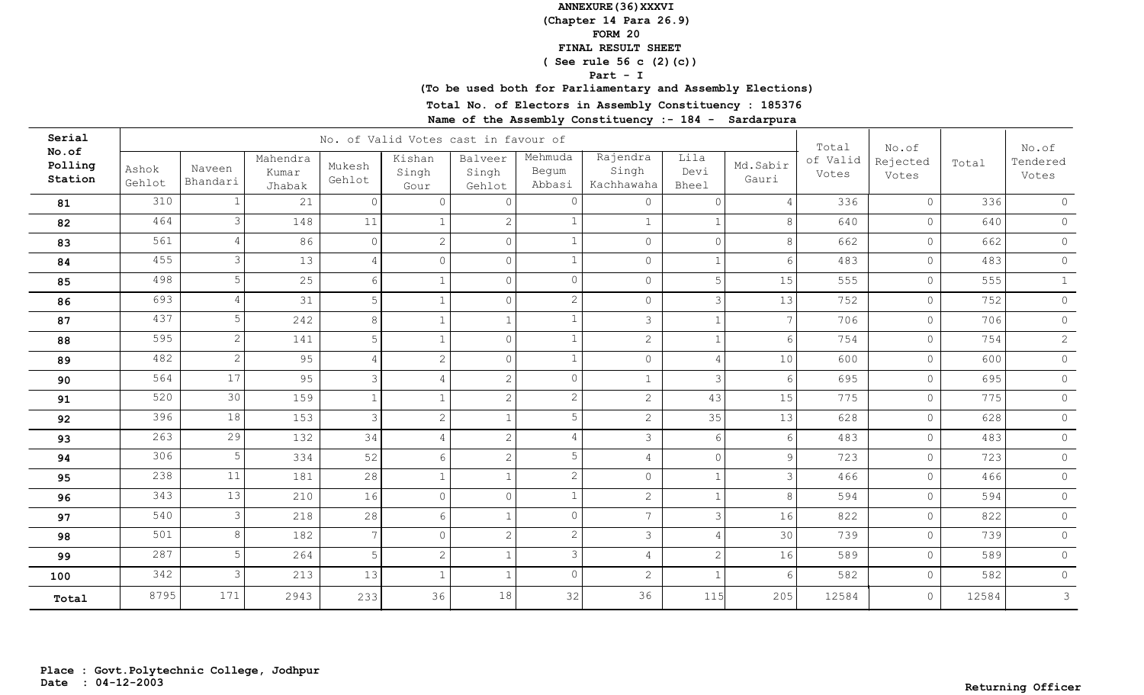**(Chapter 14 Para 26.9)**

**FORM 20**

 **FINAL RESULT SHEET**

 **( See rule 56 c (2)(c))**

#### **Part - I**

## **(To be used both for Parliamentary and Assembly Elections)**

**Total No. of Electors in Assembly Constituency : 185376**

| Serial                      |                 |                       |                             |                  | No. of Valid Votes cast in favour of |                            |                            |                                 |                              |                   | Total             | No.of             |       | No.of             |
|-----------------------------|-----------------|-----------------------|-----------------------------|------------------|--------------------------------------|----------------------------|----------------------------|---------------------------------|------------------------------|-------------------|-------------------|-------------------|-------|-------------------|
| No.of<br>Polling<br>Station | Ashok<br>Gehlot | Naveen<br>Bhandari    | Mahendra<br>Kumar<br>Jhabak | Mukesh<br>Gehlot | Kishan<br>Singh<br>Gour              | Balveer<br>Singh<br>Gehlot | Mehmuda<br>Begum<br>Abbasi | Rajendra<br>Singh<br>Kachhawaha | Lila<br>Devi<br><b>Bheel</b> | Md.Sabir<br>Gauri | of Valid<br>Votes | Rejected<br>Votes | Total | Tendered<br>Votes |
| 81                          | 310             |                       | 21                          | $\Omega$         | $\Omega$                             | $\Omega$                   | 0                          | $\circ$                         | $\Omega$                     | $\overline{4}$    | 336               | $\circ$           | 336   | $\circledcirc$    |
| 82                          | 464             | 3                     | 148                         | 11               |                                      | $\overline{2}$             |                            | $\mathbf{1}$                    |                              | 8                 | 640               | $\circ$           | 640   | $\circ$           |
| 83                          | 561             | 4                     | 86                          | $\Omega$         | $\overline{2}$                       | $\circ$                    |                            | $\mathsf{O}$                    | $\Omega$                     | 8                 | 662               | $\circ$           | 662   | $\circledcirc$    |
| 84                          | 455             | 3                     | 13                          | $\overline{4}$   | $\Omega$                             | $\overline{0}$             |                            | $\circ$                         |                              | $6 \overline{6}$  | 483               | $\circ$           | 483   | $\circ$           |
| 85                          | 498             | 5                     | 25                          | $6\overline{6}$  | $\mathbf{1}$                         | $\circ$                    | $\circ$                    | $\circ$                         | 5                            | 15                | 555               | $\circ$           | 555   | 1                 |
| 86                          | 693             | 4                     | 31                          | 5                | $\mathbf{1}$                         | $\circ$                    | $\mathbf{2}$               | $\circ$                         | 3                            | 13                | 752               | $\circ$           | 752   | $\circ$           |
| 87                          | 437             | 5                     | 242                         | 8                | $\mathbf{1}$                         | $\mathbf{1}$               |                            | $\mathcal{S}$                   |                              | $\overline{7}$    | 706               | $\circ$           | 706   | $\circ$           |
| 88                          | 595             | $\mathbf{2}^{\prime}$ | 141                         | 5                | $\mathbf{1}$                         | $\overline{0}$             | $\mathbf{1}$               | $\overline{2}$                  | $\overline{1}$               | $6 \mid$          | 754               | $\circ$           | 754   | $\mathbf{2}$      |
| 89                          | 482             | $\mathbf{2}$          | 95                          | $\overline{4}$   | 2                                    | $\circ$                    | $\mathbf{1}$               | $\circ$                         | $\overline{4}$               | 10                | 600               | $\circ$           | 600   | $\circ$           |
| 90                          | 564             | 17                    | 95                          | $\mathcal{S}$    | $\overline{4}$                       | $\overline{2}$             | $\circ$                    | $\mathbf{1}$                    | 3                            | $6 \overline{6}$  | 695               | $\circ$           | 695   | $\circ$           |
| 91                          | 520             | 30                    | 159                         | $\mathbf{1}$     | $\mathbf{1}$                         | $\overline{2}$             | $\mathbf{2}$               | 2 <sup>1</sup>                  | 43                           | 15                | 775               | $\circ$           | 775   | $\circ$           |
| 92                          | 396             | 18                    | 153                         | $\mathcal{S}$    | $\sqrt{2}$                           | $\mathbf{1}$               | 5                          | $\overline{2}$                  | 35                           | 13                | 628               | $\circ$           | 628   | $\circ$           |
| 93                          | 263             | 29                    | 132                         | 34               | $\overline{4}$                       | $\overline{2}$             | 4                          | $\mathcal{S}$                   | 6                            | 6                 | 483               | $\circ$           | 483   | $\circ$           |
| 94                          | 306             | 5                     | 334                         | 52               | 6                                    | 2                          | 5                          | $\overline{4}$                  | $\overline{0}$               | $\overline{9}$    | 723               | $\circledcirc$    | 723   | $\circ$           |
| 95                          | 238             | 11                    | 181                         | 28               | $\mathbf{1}$                         | $\mathbf{1}$               | $\overline{c}$             | $\circ$                         |                              | $\mathcal{E}$     | 466               | $\circledcirc$    | 466   | $\circ$           |
| 96                          | 343             | 13                    | 210                         | 16               | $\overline{0}$                       | $\circ$                    | $\mathbf{1}$               | $\overline{2}$                  |                              | 8                 | 594               | $\circ$           | 594   | $\circ$           |
| 97                          | 540             | 3                     | 218                         | 28               | 6                                    | $\mathbf{1}$               | $\circ$                    | 7 <sup>7</sup>                  | 3                            | 16                | 822               | $\circ$           | 822   | $\circ$           |
| 98                          | 501             | 8                     | 182                         | $7\phantom{.0}$  | $\overline{0}$                       | $\overline{2}$             | $\overline{2}$             | $\mathcal{S}$                   | $\overline{4}$               | 30 <sup>1</sup>   | 739               | $\circ$           | 739   | $\circ$           |
| 99                          | 287             | 5                     | 264                         | 5                | $\mathbf{2}$                         | $\mathbf{1}$               | 3                          | $\overline{4}$                  | $\overline{2}$               | 16                | 589               | $\circ$           | 589   | $\circ$           |
| 100                         | 342             | 3                     | 213                         | 13               | $\mathbf{1}$                         | $\mathbf{1}$               | $\Omega$                   | $\overline{c}$                  |                              | 6                 | 582               | $\circ$           | 582   | $\circ$           |
| Total                       | 8795            | 171                   | 2943                        | 233              | 36                                   | 18                         | 32                         | 36                              | 115                          | 205               | 12584             | $\circ$           | 12584 | $\mathfrak{Z}$    |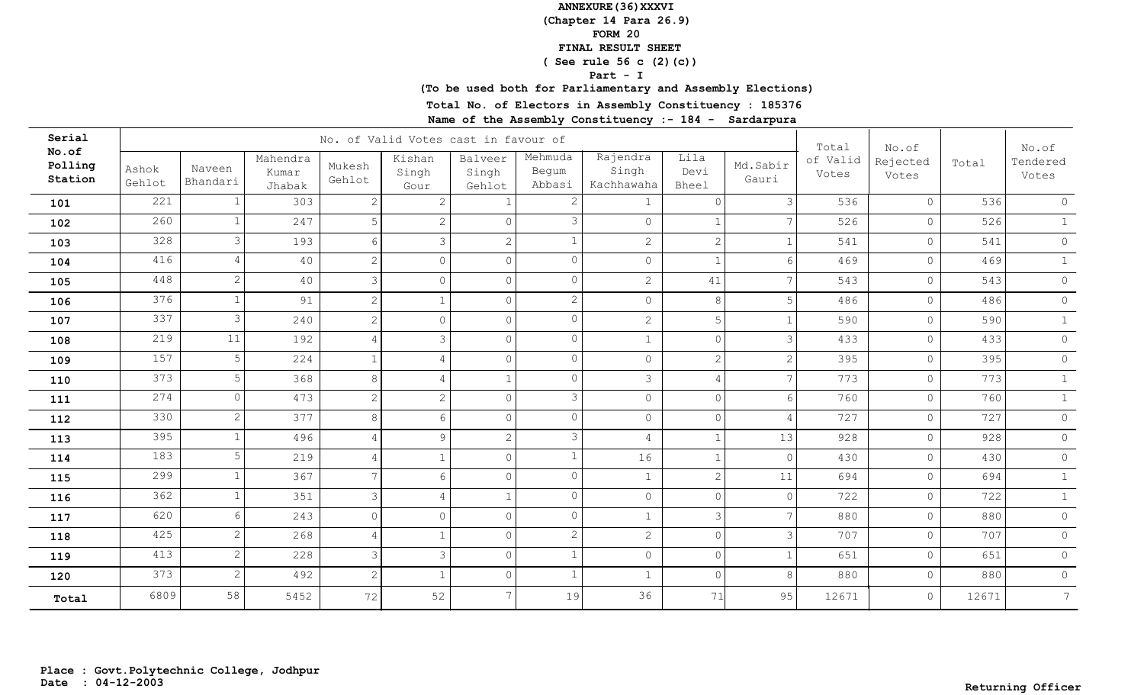**(Chapter 14 Para 26.9)**

**FORM 20**

 **FINAL RESULT SHEET**

 **( See rule 56 c (2)(c))**

#### **Part - I**

## **(To be used both for Parliamentary and Assembly Elections)**

**Total No. of Electors in Assembly Constituency : 185376**

| Serial                      |                 |                    |                             |                  | No. of Valid Votes cast in favour of |                            |                            |                                 |                       |                   | Total             | No.of             |       | No.of             |
|-----------------------------|-----------------|--------------------|-----------------------------|------------------|--------------------------------------|----------------------------|----------------------------|---------------------------------|-----------------------|-------------------|-------------------|-------------------|-------|-------------------|
| No.of<br>Polling<br>Station | Ashok<br>Gehlot | Naveen<br>Bhandari | Mahendra<br>Kumar<br>Jhabak | Mukesh<br>Gehlot | Kishan<br>Singh<br>Gour              | Balveer<br>Singh<br>Gehlot | Mehmuda<br>Begum<br>Abbasi | Rajendra<br>Singh<br>Kachhawaha | Lila<br>Devi<br>Bheel | Md.Sabir<br>Gauri | of Valid<br>Votes | Rejected<br>Votes | Total | Tendered<br>Votes |
| 101                         | 221             |                    | 303                         | 2                | $\mathbf{2}$                         |                            |                            | 1                               | $\Omega$              | 3 <sup>1</sup>    | 536               | $\circ$           | 536   | $\circ$           |
| 102                         | 260             |                    | 247                         | 5                | $\mathbf{2}$                         | $\Omega$                   | 3                          | $\circ$                         |                       | $\overline{7}$    | 526               | $\circ$           | 526   | $\mathbf{1}$      |
| 103                         | 328             |                    | 193                         | 6                | 3                                    | $\mathbf{2}$               |                            | $\overline{2}$                  | $\overline{2}$        |                   | 541               | $\circ$           | 541   | $\circ$           |
| 104                         | 416             |                    | 40                          | $\mathbf{2}$     | $\overline{0}$                       | $\circ$                    | $\Omega$                   | $\circ$                         |                       | 6                 | 469               | $\circ$           | 469   | 1                 |
| 105                         | 448             |                    | 40                          | $\mathcal{S}$    | $\overline{0}$                       | $\circ$                    | $\Omega$                   | $\overline{2}$                  | 41                    | $\overline{7}$    | 543               | $\circ$           | 543   | $\circ$           |
| 106                         | 376             |                    | 91                          | $\mathbf{2}$     | $\mathbf{1}$                         | $\circ$                    | $\overline{2}$             | $\circledcirc$                  | $\,8\,$               | 5 <sup>1</sup>    | 486               | $\circledcirc$    | 486   | $\circledcirc$    |
| 107                         | 337             | 3                  | 240                         | $\overline{c}$   | $\circ$                              | $\circ$                    | $\Omega$                   | $\overline{2}$                  | 5                     | $\mathbf{1}$      | 590               | $\circ$           | 590   | 1                 |
| 108                         | 219             | 11                 | 192                         | $\overline{4}$   | $\mathfrak{Z}$                       | $\circ$                    | $\circ$                    | $\mathbf{1}$                    | $\circ$               | $\mathcal{E}$     | 433               | $\circ$           | 433   | $\circ$           |
| 109                         | 157             | 5                  | 224                         | $\mathbf{1}$     | $\overline{4}$                       | $\circ$                    | $\Omega$                   | $\circledcirc$                  | $\overline{2}$        | $\overline{2}$    | 395               | $\circ$           | 395   | $\circ$           |
| 110                         | 373             | 5                  | 368                         | 8                | $\overline{4}$                       | $\mathbf{1}$               | $\Omega$                   | $\mathcal{S}$                   | $\overline{4}$        | $\overline{7}$    | 773               | $\circ$           | 773   | $\mathbf{1}$      |
| 111                         | 274             | $\Omega$           | 473                         | 2                | $\overline{2}$                       | $\circ$                    | 3                          | $\circledcirc$                  | $\Omega$              | $6 \overline{6}$  | 760               | $\circ$           | 760   | $\mathbf{1}$      |
| 112                         | 330             | 2                  | 377                         | 8                | 6                                    | $\circ$                    | $\Omega$                   | $\circ$                         | $\Omega$              | $\overline{4}$    | 727               | $\circ$           | 727   | $\circ$           |
| 113                         | 395             |                    | 496                         | $\overline{4}$   | 9                                    | $\overline{2}$             | 3                          | $\overline{4}$                  |                       | 13                | 928               | $\circ$           | 928   | $\circ$           |
| 114                         | 183             | 5                  | 219                         | 4                | $\mathbf{1}$                         | $\circ$                    |                            | 16                              |                       | $\circ$           | 430               | $\circ$           | 430   | $\circ$           |
| 115                         | 299             |                    | 367                         | $7\phantom{.0}$  | 6                                    | $\circ$                    | $\Omega$                   | $\mathbf{1}$                    | $\overline{2}$        | 11                | 694               | $\circ$           | 694   | $\mathbf{1}$      |
| 116                         | 362             |                    | 351                         | $\mathcal{S}$    | 4                                    | $\mathbf{1}$               | $\Omega$                   | $\circ$                         | $\Omega$              | $\circ$           | 722               | $\circ$           | 722   | 1                 |
| 117                         | 620             | 6                  | 243                         | $\overline{0}$   | $\circ$                              | $\circ$                    | $\Omega$                   | $\mathbf 1$                     | 3                     | $\overline{7}$    | 880               | $\circ$           | 880   | $\circ$           |
| 118                         | 425             |                    | 268                         | 4                | $\mathbf{1}$                         | $\circ$                    | $\overline{2}$             | $\overline{2}$                  | $\Omega$              | $\mathcal{E}$     | 707               | $\circ$           | 707   | $\circ$           |
| 119                         | 413             | 2                  | 228                         | $\mathcal{S}$    | $\mathfrak{Z}$                       | $\circ$                    |                            | $\circ$                         | $\overline{0}$        |                   | 651               | $\circ$           | 651   | $\circ$           |
| 120                         | 373             | $\mathcal{L}$      | 492                         | $\mathbf{2}$     | $\mathbf{1}$                         | $\overline{0}$             |                            | $\mathbf{1}$                    | $\Omega$              | 8                 | 880               | $\circ$           | 880   | $\circledcirc$    |
| Total                       | 6809            | 58                 | 5452                        | 72               | 52                                   | 7                          | 19                         | 36                              | 71                    | 95                | 12671             | $\circ$           | 12671 | $7\overline{ }$   |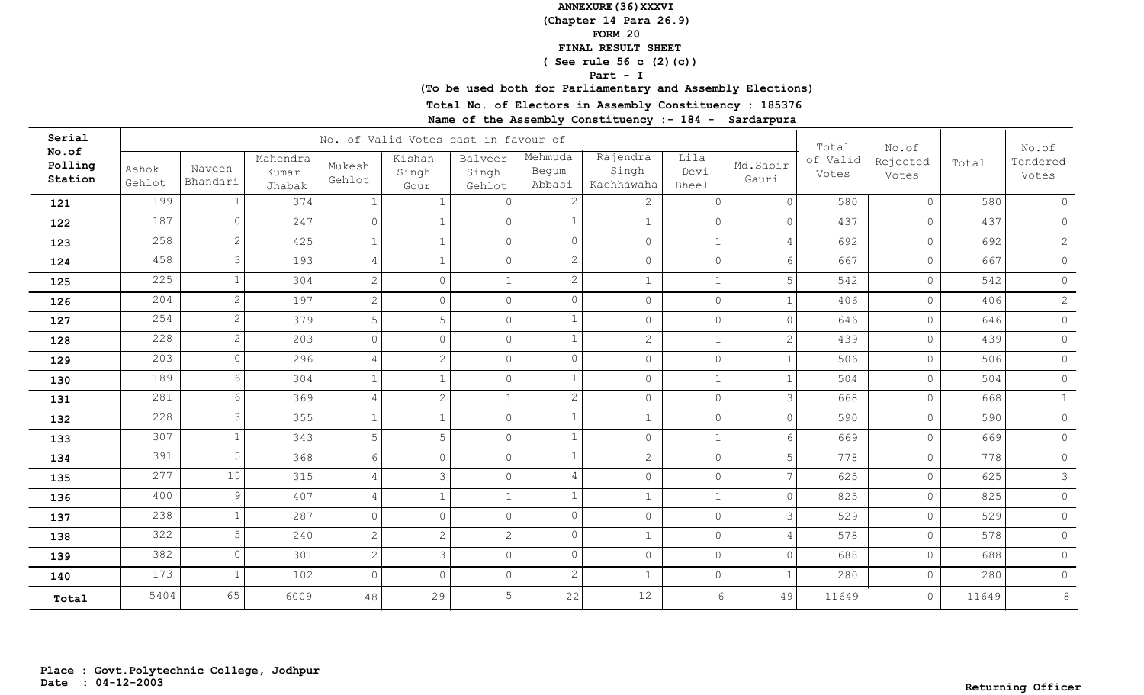**(Chapter 14 Para 26.9)**

**FORM 20**

 **FINAL RESULT SHEET**

 **( See rule 56 c (2)(c))**

#### **Part - I**

## **(To be used both for Parliamentary and Assembly Elections)**

**Total No. of Electors in Assembly Constituency : 185376**

| Serial                      |                 |                    |                             |                  | No. of Valid Votes cast in favour of |                            |                            |                                 |                       |                   | Total             | No.of             |       | No.of             |
|-----------------------------|-----------------|--------------------|-----------------------------|------------------|--------------------------------------|----------------------------|----------------------------|---------------------------------|-----------------------|-------------------|-------------------|-------------------|-------|-------------------|
| No.of<br>Polling<br>Station | Ashok<br>Gehlot | Naveen<br>Bhandari | Mahendra<br>Kumar<br>Jhabak | Mukesh<br>Gehlot | Kishan<br>Singh<br>Gour              | Balveer<br>Singh<br>Gehlot | Mehmuda<br>Begum<br>Abbasi | Rajendra<br>Singh<br>Kachhawaha | Lila<br>Devi<br>Bheel | Md.Sabir<br>Gauri | of Valid<br>Votes | Rejected<br>Votes | Total | Tendered<br>Votes |
| 121                         | 199             |                    | 374                         | 1                | 1                                    | $\bigcap$                  |                            | $\overline{2}$                  | $\Omega$              | $\circ$           | 580               | $\circ$           | 580   | $\Omega$          |
| 122                         | 187             | $\Omega$           | 247                         | $\overline{0}$   | $\mathbf 1$                          | $\circ$                    |                            | $\mathbf{1}$                    | $\Omega$              | $\circ$           | 437               | $\circ$           | 437   | $\circ$           |
| 123                         | 258             |                    | 425                         | $\mathbf{1}$     | $\mathbf{1}$                         | $\overline{0}$             | $\Omega$                   | $\circ$                         |                       | 4                 | 692               | $\circ$           | 692   | $\overline{2}$    |
| 124                         | 458             | 3                  | 193                         | 4                | $\mathbf{1}$                         | $\circ$                    | $\overline{2}$             | $\circledcirc$                  | $\overline{0}$        | $6 \overline{6}$  | 667               | $\circ$           | 667   | $\circledcirc$    |
| 125                         | 225             |                    | 304                         | $\overline{c}$   | $\circ$                              | $\mathbf{1}$               | $\overline{2}$             | $1\,$                           |                       | 5 <sup>1</sup>    | 542               | $\circ$           | 542   | $\circledcirc$    |
| 126                         | 204             | $\mathcal{L}$      | 197                         | $\overline{c}$   | $\circ$                              | $\circ$                    | $\Omega$                   | $\circledcirc$                  | $\Omega$              |                   | 406               | $\circ$           | 406   | $\mathbf{2}$      |
| 127                         | 254             | $\mathfrak{D}$     | 379                         | 5                | 5                                    | $\circ$                    |                            | $\circledcirc$                  | $\Omega$              | $\overline{0}$    | 646               | $\circ$           | 646   | $\circ$           |
| 128                         | 228             | 2                  | 203                         | $\overline{0}$   | $\circ$                              | $\Omega$                   |                            | $\overline{2}$                  | $\overline{1}$        | $\overline{2}$    | 439               | $\circ$           | 439   | $\circ$           |
| 129                         | 203             | $\Omega$           | 296                         | $\overline{4}$   | $\overline{2}$                       | $\circ$                    | $\Omega$                   | $\circ$                         | $\overline{0}$        | $\mathbf{1}$      | 506               | $\circ$           | 506   | $\circ$           |
| 130                         | 189             | 6                  | 304                         | $\mathbf{1}$     | $\mathbf{1}$                         | $\circ$                    |                            | $\circledcirc$                  | $\mathbf{1}$          | 1                 | 504               | $\circ$           | 504   | $\circ$           |
| 131                         | 281             | 6                  | 369                         | $\overline{4}$   | $\overline{2}$                       | $\mathbf{1}$               | $\overline{2}$             | $\circledcirc$                  | $\Omega$              | $\mathcal{E}$     | 668               | $\circ$           | 668   | $\mathbf{1}$      |
| 132                         | 228             | 3                  | 355                         | $\mathbf{1}$     | $\mathbf{1}$                         | $\circ$                    |                            | $\mathbf{1}$                    | $\circ$               | $\circ$           | 590               | $\circ$           | 590   | $\circ$           |
| 133                         | 307             |                    | 343                         | 5                | 5                                    | $\circ$                    |                            | $\circ$                         |                       | $6 \overline{6}$  | 669               | $\circ$           | 669   | $\circ$           |
| 134                         | 391             | 5                  | 368                         | 6                | $\circ$                              | $\circ$                    |                            | $\overline{2}$                  | $\Omega$              | 5 <sup>1</sup>    | 778               | $\circ$           | 778   | $\circ$           |
| 135                         | 277             | 15                 | 315                         | 4                | $\mathcal{S}$                        | $\circ$                    | 4                          | $\circledcirc$                  | $\Omega$              | $\overline{7}$    | 625               | $\circ$           | 625   | $\mathfrak{Z}$    |
| 136                         | 400             | 9                  | 407                         | $\overline{4}$   | $\mathbf{1}$                         | $\mathbf{1}$               |                            | $\mathbf{1}$                    |                       | $\circ$           | 825               | $\circ$           | 825   | $\circ$           |
| 137                         | 238             |                    | 287                         | $\overline{0}$   | $\circ$                              | $\overline{0}$             | $\Omega$                   | $\circledcirc$                  | $\Omega$              | $\mathcal{E}$     | 529               | $\circ$           | 529   | $\circ$           |
| 138                         | 322             |                    | 240                         | 2                | $\overline{2}$                       | $\mathbf{2}^{\prime}$      | $\cap$                     | $\mathbf{1}$                    | $\Omega$              | $\overline{4}$    | 578               | $\circ$           | 578   | $\circ$           |
| 139                         | 382             | $\Omega$           | 301                         | 2                | $\mathfrak{Z}$                       | $\circ$                    | $\Omega$                   | $\circledcirc$                  | $\Omega$              | $\circ$           | 688               | $\circ$           | 688   | $\circ$           |
| 140                         | 173             |                    | 102                         | $\circ$          | $\circ$                              | $\circ$                    | $\overline{2}$             | $\mathbf{1}$                    | $\Omega$              |                   | 280               | $\circ$           | 280   | $\circ$           |
| Total                       | 5404            | 65                 | 6009                        | 48               | 29                                   | 5                          | 22                         | 12                              |                       | 49                | 11649             | $\circ$           | 11649 | $8\,$             |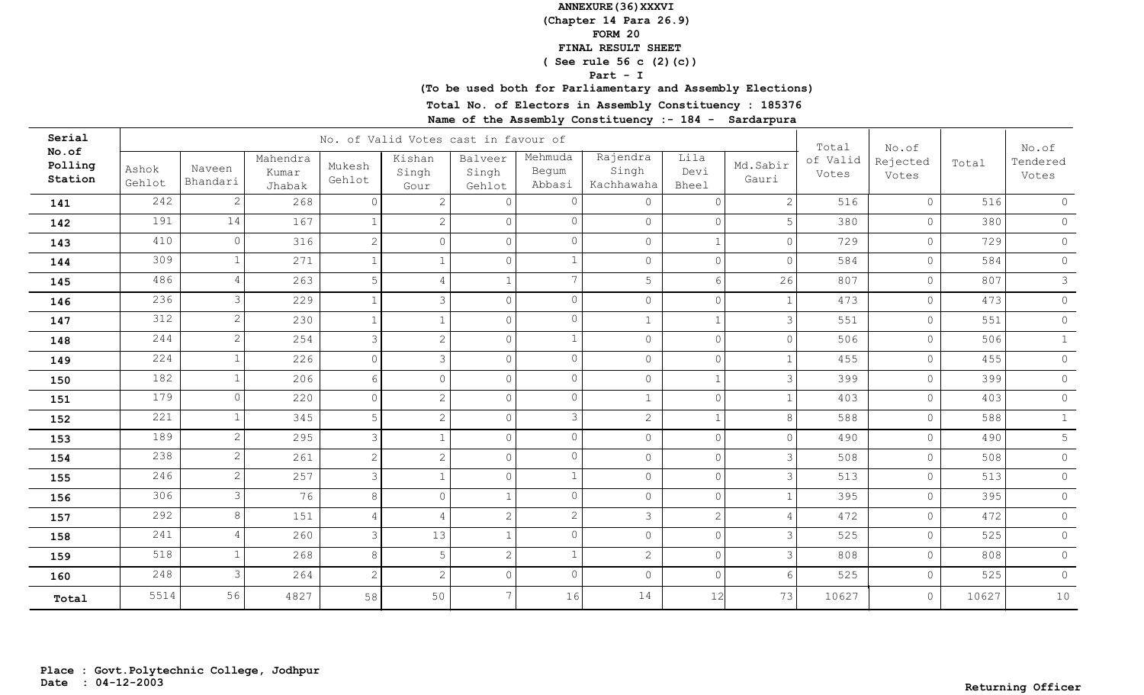**(Chapter 14 Para 26.9)**

**FORM 20**

 **FINAL RESULT SHEET**

 **( See rule 56 c (2)(c))**

#### **Part - I**

## **(To be used both for Parliamentary and Assembly Elections)**

**Total No. of Electors in Assembly Constituency : 185376**

| Serial                      |                 |                    |                             |                  | No. of Valid Votes cast in favour of |                            |                            |                                 |                              |                   | Total             | No.of             |       | No.of             |
|-----------------------------|-----------------|--------------------|-----------------------------|------------------|--------------------------------------|----------------------------|----------------------------|---------------------------------|------------------------------|-------------------|-------------------|-------------------|-------|-------------------|
| No.of<br>Polling<br>Station | Ashok<br>Gehlot | Naveen<br>Bhandari | Mahendra<br>Kumar<br>Jhabak | Mukesh<br>Gehlot | Kishan<br>Singh<br>Gour              | Balveer<br>Singh<br>Gehlot | Mehmuda<br>Begum<br>Abbasi | Rajendra<br>Singh<br>Kachhawaha | Lila<br>Devi<br><b>Bheel</b> | Md.Sabir<br>Gauri | of Valid<br>Votes | Rejected<br>Votes | Total | Tendered<br>Votes |
| 141                         | 242             | 2                  | 268                         | $\Omega$         | 2                                    | $\Omega$                   | O                          | $\circ$                         | $\Omega$                     | $\overline{2}$    | 516               | $\circ$           | 516   | $\circ$           |
| 142                         | 191             | 14                 | 167                         |                  | $\overline{2}$                       | $\overline{0}$             | $\Omega$                   | $\circ$                         | $\mathbf{0}$                 | 5                 | 380               | $\circ$           | 380   | $\circ$           |
| 143                         | 410             | $\Omega$           | 316                         | 2                | $\circ$                              | $\circ$                    | $\Omega$                   | $\mathsf{O}$                    |                              | $\Omega$          | 729               | $\circ$           | 729   | $\circledcirc$    |
| 144                         | 309             |                    | 271                         |                  | $\mathbf{1}$                         | $\circ$                    |                            | $\mathsf{O}$                    | $\Omega$                     | $\Omega$          | 584               | $\circ$           | 584   | $\circ$           |
| 145                         | 486             |                    | 263                         | $\overline{5}$   | $\overline{4}$                       | $\mathbf{1}$               | 7                          | 5                               | 6                            | 26                | 807               | $\circ$           | 807   | 3 <sup>7</sup>    |
| 146                         | 236             | 3                  | 229                         |                  | 3                                    | $\overline{0}$             | $\circ$                    | $\overline{0}$                  | $\Omega$                     |                   | 473               | $\circ$           | 473   | $\circ$           |
| 147                         | 312             | $\mathbf{2}$       | 230                         | 1                | $\mathbf{1}$                         | $\circ$                    | $\circ$                    | $\mathbf{1}$                    |                              | $\mathcal{E}$     | 551               | $\circ$           | 551   | $\circ$           |
| 148                         | 244             | $\mathbf{2}$       | 254                         | 3                | $\mathbf{2}$                         | $\circ$                    | $\mathbf 1$                | $\circ$                         | $\overline{0}$               | $\overline{0}$    | 506               | $\circ$           | 506   | 1                 |
| 149                         | 224             | $\mathbf{1}$       | 226                         | $\circ$          | $\mathcal{S}$                        | $\circ$                    | $\circ$                    | $\mathsf{O}$                    | $\circ$                      | $\mathbf{1}$      | 455               | $\circ$           | 455   | $\circ$           |
| 150                         | 182             | $\mathbf{1}$       | 206                         | 6                | $\circ$                              | $\overline{0}$             | $\circ$                    | $\circ$                         | $\mathbf{1}$                 | $\mathcal{E}$     | 399               | $\circ$           | 399   | $\circ$           |
| 151                         | 179             | $\circ$            | 220                         | $\Omega$         | $\overline{c}$                       | $\overline{0}$             | $\circ$                    | $\mathbf{1}$                    | $\Omega$                     | $\mathbf{1}$      | 403               | $\circ$           | 403   | $\circ$           |
| 152                         | 221             | $\mathbf{1}$       | 345                         | 5                | $\overline{c}$                       | $\circ$                    | 3                          | $\overline{2}$                  |                              | 8 <sup>°</sup>    | 588               | $\circ$           | 588   | $\mathbf{1}$      |
| 153                         | 189             | 2                  | 295                         | $\mathcal{S}$    | $\mathbf{1}$                         | $\circ$                    | $\circ$                    | $\circ$                         | $\circ$                      | $\overline{0}$    | 490               | $\circ$           | 490   | 5                 |
| 154                         | 238             | 2                  | 261                         | 2                | $\sqrt{2}$                           | $\circ$                    | $\circ$                    | $\circ$                         | $\overline{0}$               | $\mathcal{E}$     | 508               | $\circ$           | 508   | $\circ$           |
| 155                         | 246             | 2                  | 257                         | 3                | $\mathbf{1}$                         | $\circ$                    | $\mathbf{1}$               | $\circ$                         | $\circ$                      | $\mathcal{E}$     | 513               | $\circ$           | 513   | $\circ$           |
| 156                         | 306             | 3                  | 76                          | 8                | $\overline{0}$                       | $\mathbf{1}$               | $\Omega$                   | $\circ$                         | $\Omega$                     |                   | 395               | $\circ$           | 395   | $\circ$           |
| 157                         | 292             | 8                  | 151                         | $\overline{4}$   | $\overline{4}$                       | $\overline{2}$             | $\overline{2}$             | $\mathcal{S}$                   | 2                            | 4                 | 472               | $\circ$           | 472   | $\circ$           |
| 158                         | 241             | 4                  | 260                         | 3                | 13                                   | $\mathbf{1}$               | $\Omega$                   | $\circ$                         | $\Omega$                     | 3                 | 525               | $\circ$           | 525   | $\circ$           |
| 159                         | 518             |                    | 268                         | 8                | 5                                    | $\mathbf{2}$               |                            | $\overline{2}$                  | $\mathbf{0}$                 | 3                 | 808               | $\circ$           | 808   | $\circ$           |
| 160                         | 248             | 3                  | 264                         | 2                | $\overline{2}$                       | $\circ$                    | $\Omega$                   | $\mathsf{O}$                    | $\Omega$                     | 6                 | 525               | $\circ$           | 525   | $\circ$           |
| Total                       | 5514            | 56                 | 4827                        | 58               | 50                                   | $7\overline{ }$            | 16                         | 14                              | 12                           | 73                | 10627             | $\circ$           | 10627 | 10                |